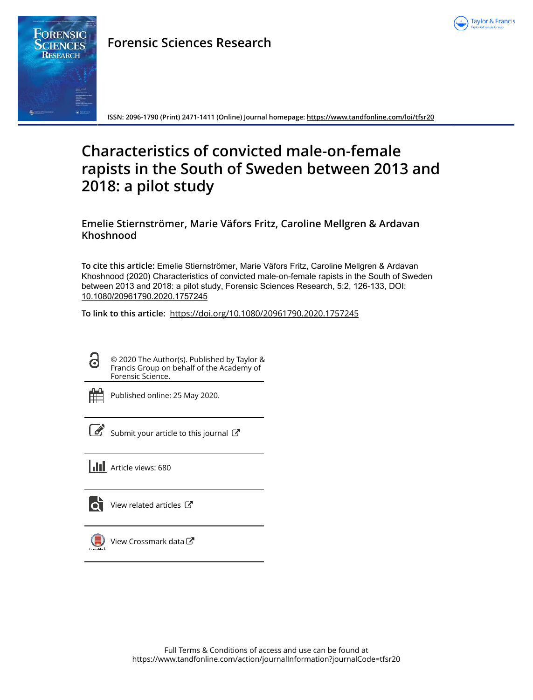

## **Forensic Sciences Research**



**ISSN: 2096-1790 (Print) 2471-1411 (Online) Journal homepage:<https://www.tandfonline.com/loi/tfsr20>**

# **Characteristics of convicted male-on-female rapists in the South of Sweden between 2013 and 2018: a pilot study**

### **Emelie Stiernströmer, Marie Väfors Fritz, Caroline Mellgren & Ardavan Khoshnood**

**To cite this article:** Emelie Stiernströmer, Marie Väfors Fritz, Caroline Mellgren & Ardavan Khoshnood (2020) Characteristics of convicted male-on-female rapists in the South of Sweden between 2013 and 2018: a pilot study, Forensic Sciences Research, 5:2, 126-133, DOI: [10.1080/20961790.2020.1757245](https://www.tandfonline.com/action/showCitFormats?doi=10.1080/20961790.2020.1757245)

**To link to this article:** <https://doi.org/10.1080/20961790.2020.1757245>

ദ

© 2020 The Author(s). Published by Taylor & Francis Group on behalf of the Academy of Forensic Science.



Published online: 25 May 2020.

[Submit your article to this journal](https://www.tandfonline.com/action/authorSubmission?journalCode=tfsr20&show=instructions)  $\mathbb{Z}$ 

**III** Article views: 680



 $\bullet$  [View related articles](https://www.tandfonline.com/doi/mlt/10.1080/20961790.2020.1757245)  $\circ$ 



 $\bigcirc$  [View Crossmark data](http://crossmark.crossref.org/dialog/?doi=10.1080/20961790.2020.1757245&domain=pdf&date_stamp=2020-05-25) $\mathbb{Z}$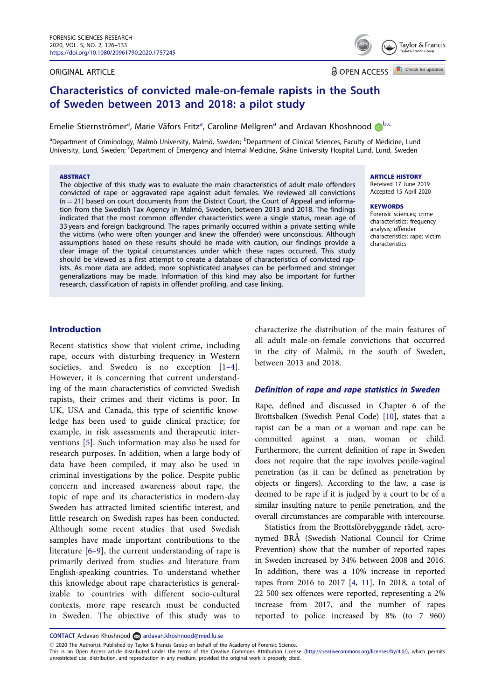#### <span id="page-1-0"></span>ORIGINAL ARTICLE

Taylor & Francis

**a** OPEN ACCESS **A** Check for updates

## Characteristics of convicted male-on-female rapists in the South of Sweden between 2013 and 2018: a pilot study

Emelie Stiernströmer<sup>a</sup>, Marie Väfors Fritz<sup>a</sup>, Caroline Mellgren<sup>a</sup> and Ardavan Khoshnood D<sup>[b](http://orcid.org/0000-0002-3142-4119),c</sup>

<sup>a</sup>Department of Criminology, Malmö University, Malmö, Sweden; <sup>b</sup>Department of Clinical Sciences, Faculty of Medicine, Lund University, Lund, Sweden; <sup>c'</sup>Department of Emergency and Internal Medicine, Skåne University Hospital Lund, Lund, Sweden

#### **ABSTRACT**

The objective of this study was to evaluate the main characteristics of adult male offenders convicted of rape or aggravated rape against adult females. We reviewed all convictions  $(n = 21)$  based on court documents from the District Court, the Court of Appeal and information from the Swedish Tax Agency in Malmö, Sweden, between 2013 and 2018. The findings indicated that the most common offender characteristics were a single status, mean age of 33 years and foreign background. The rapes primarily occurred within a private setting while the victims (who were often younger and knew the offender) were unconscious. Although assumptions based on these results should be made with caution, our findings provide a clear image of the typical circumstances under which these rapes occurred. This study should be viewed as a first attempt to create a database of characteristics of convicted rapists. As more data are added, more sophisticated analyses can be performed and stronger generalizations may be made. Information of this kind may also be important for further research, classification of rapists in offender profiling, and case linking.

#### ARTICLE HISTORY

Received 17 June 2019 Accepted 15 April 2020

#### **KEYWORDS**

Forensic sciences; crime characteristics; frequency analysis; offender characteristics; rape; victim characteristics

#### Introduction

Recent statistics show that violent crime, including rape, occurs with disturbing frequency in Western societies, and Sweden is no exception [1-[4\]](#page-7-0). However, it is concerning that current understanding of the main characteristics of convicted Swedish rapists, their crimes and their victims is poor. In UK, USA and Canada, this type of scientific knowledge has been used to guide clinical practice; for example, in risk assessments and therapeutic interventions [\[5](#page-7-0)]. Such information may also be used for research purposes. In addition, when a large body of data have been compiled, it may also be used in criminal investigations by the police. Despite public concern and increased awareness about rape, the topic of rape and its characteristics in modern-day Sweden has attracted limited scientific interest, and little research on Swedish rapes has been conducted. Although some recent studies that used Swedish samples have made important contributions to the literature [[6](#page-7-0)–9], the current understanding of rape is primarily derived from studies and literature from English-speaking countries. To understand whether this knowledge about rape characteristics is generalizable to countries with different socio-cultural contexts, more rape research must be conducted in Sweden. The objective of this study was to

characterize the distribution of the main features of all adult male-on-female convictions that occurred in the city of Malmö, in the south of Sweden, between 2013 and 2018.

#### Definition of rape and rape statistics in Sweden

Rape, defined and discussed in Chapter 6 of the Brottsbalken (Swedish Penal Code) [\[10\]](#page-7-0), states that a rapist can be a man or a woman and rape can be committed against a man, woman or child. Furthermore, the current definition of rape in Sweden does not require that the rape involves penile-vaginal penetration (as it can be defined as penetration by objects or fingers). According to the law, a case is deemed to be rape if it is judged by a court to be of a similar insulting nature to penile penetration, and the overall circumstances are comparable with intercourse.

Statistics from the Brottsförebyggande rådet, acronymed BRÅ (Swedish National Council for Crime Prevention) show that the number of reported rapes in Sweden increased by 34% between 2008 and 2016. In addition, there was a 10% increase in reported rapes from 2016 to 2017 [\[4,](#page-7-0) [11\]](#page-7-0). In 2018, a total of 22 500 sex offences were reported, representing a 2% increase from 2017, and the number of rapes reported to police increased by 8% (to 7 960)

CONTACT Ardavan Khoshnood ardavan.khoshnood@med.lu.se

2020 The Author(s). Published by Taylor & Francis Group on behalf of the Academy of Forensic Science.

This is an Open Access article distributed under the terms of the Creative Commons Attribution License ([http://creativecommons.org/licenses/by/4.0/\)](http://creativecommons.org/licenses/by/4.0/), which permits unrestricted use, distribution, and reproduction in any medium, provided the original work is properly cited.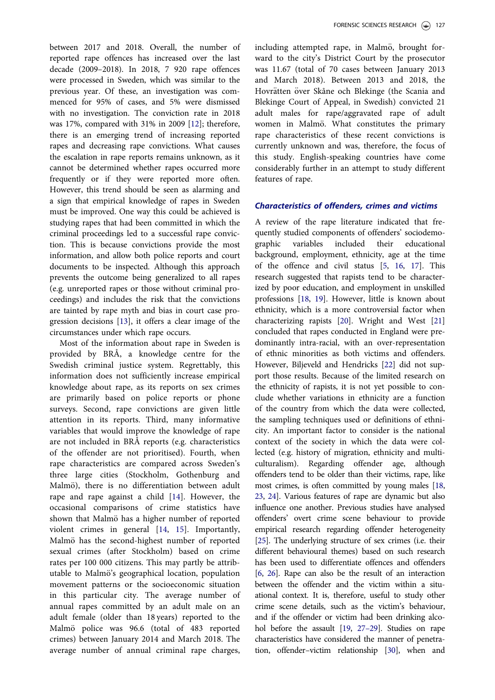<span id="page-2-0"></span>between 2017 and 2018. Overall, the number of reported rape offences has increased over the last decade (2009–2018). In 2018, 7 920 rape offences were processed in Sweden, which was similar to the previous year. Of these, an investigation was commenced for 95% of cases, and 5% were dismissed with no investigation. The conviction rate in 2018 was 17%, compared with 31% in 2009 [[12](#page-7-0)]; therefore, there is an emerging trend of increasing reported rapes and decreasing rape convictions. What causes the escalation in rape reports remains unknown, as it cannot be determined whether rapes occurred more frequently or if they were reported more often. However, this trend should be seen as alarming and a sign that empirical knowledge of rapes in Sweden must be improved. One way this could be achieved is studying rapes that had been committed in which the criminal proceedings led to a successful rape conviction. This is because convictions provide the most information, and allow both police reports and court documents to be inspected. Although this approach prevents the outcome being generalized to all rapes (e.g. unreported rapes or those without criminal proceedings) and includes the risk that the convictions are tainted by rape myth and bias in court case progression decisions [[13\]](#page-7-0), it offers a clear image of the circumstances under which rape occurs.

Most of the information about rape in Sweden is provided by BRÅ, a knowledge centre for the Swedish criminal justice system. Regrettably, this information does not sufficiently increase empirical knowledge about rape, as its reports on sex crimes are primarily based on police reports or phone surveys. Second, rape convictions are given little attention in its reports. Third, many informative variables that would improve the knowledge of rape are not included in BRÅ reports (e.g. characteristics of the offender are not prioritised). Fourth, when rape characteristics are compared across Sweden's three large cities (Stockholm, Gothenburg and Malmö), there is no differentiation between adult rape and rape against a child [[14\]](#page-7-0). However, the occasional comparisons of crime statistics have shown that Malmö has a higher number of reported violent crimes in general [[14](#page-7-0), [15](#page-7-0)]. Importantly, Malmö has the second-highest number of reported sexual crimes (after Stockholm) based on crime rates per 100 000 citizens. This may partly be attributable to Malmö's geographical location, population movement patterns or the socioeconomic situation in this particular city. The average number of annual rapes committed by an adult male on an adult female (older than 18 years) reported to the Malmö police was 96.6 (total of 483 reported crimes) between January 2014 and March 2018. The average number of annual criminal rape charges,

including attempted rape, in Malmö, brought forward to the city's District Court by the prosecutor was 11.67 (total of 70 cases between January 2013 and March 2018). Between 2013 and 2018, the Hovrätten över Skåne och Blekinge (the Scania and Blekinge Court of Appeal, in Swedish) convicted 21 adult males for rape/aggravated rape of adult women in Malmö. What constitutes the primary rape characteristics of these recent convictions is currently unknown and was, therefore, the focus of this study. English-speaking countries have come considerably further in an attempt to study different features of rape.

#### Characteristics of offenders, crimes and victims

A review of the rape literature indicated that frequently studied components of offenders' sociodemographic variables included their educational background, employment, ethnicity, age at the time of the offence and civil status [[5](#page-7-0), [16,](#page-7-0) [17](#page-7-0)]. This research suggested that rapists tend to be characterized by poor education, and employment in unskilled professions [[18,](#page-7-0) [19\]](#page-7-0). However, little is known about ethnicity, which is a more controversial factor when characterizing rapists [\[20\]](#page-7-0). Wright and West [\[21\]](#page-7-0) concluded that rapes conducted in England were predominantly intra-racial, with an over-representation of ethnic minorities as both victims and offenders. However, Biljeveld and Hendricks [\[22](#page-7-0)] did not support those results. Because of the limited research on the ethnicity of rapists, it is not yet possible to conclude whether variations in ethnicity are a function of the country from which the data were collected, the sampling techniques used or definitions of ethnicity. An important factor to consider is the national context of the society in which the data were collected (e.g. history of migration, ethnicity and multiculturalism). Regarding offender age, although offenders tend to be older than their victims, rape, like most crimes, is often committed by young males [\[18](#page-7-0), [23](#page-7-0), [24](#page-8-0)]. Various features of rape are dynamic but also influence one another. Previous studies have analysed offenders' overt crime scene behaviour to provide empirical research regarding offender heterogeneity [\[25\]](#page-8-0). The underlying structure of sex crimes (i.e. their different behavioural themes) based on such research has been used to differentiate offences and offenders [\[6,](#page-7-0) [26](#page-8-0)]. Rape can also be the result of an interaction between the offender and the victim within a situational context. It is, therefore, useful to study other crime scene details, such as the victim's behaviour, and if the offender or victim had been drinking alcohol before the assault [\[19,](#page-7-0) [27](#page-8-0)–29]. Studies on rape characteristics have considered the manner of penetration, offender–victim relationship [\[30\]](#page-8-0), when and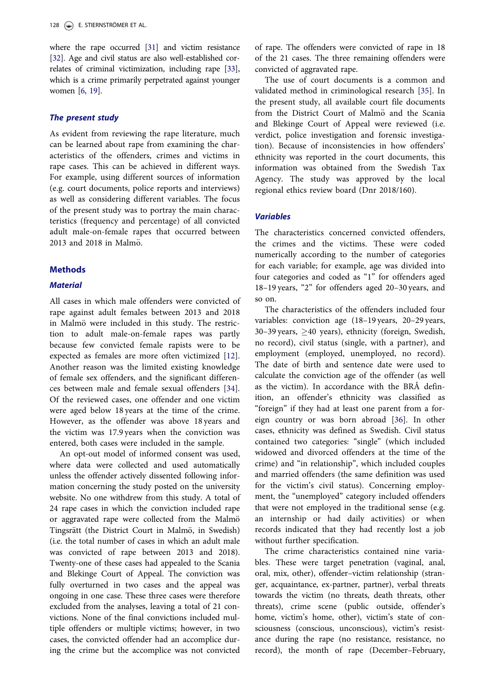<span id="page-3-0"></span>where the rape occurred [[31](#page-8-0)] and victim resistance [\[32\]](#page-8-0). Age and civil status are also well-established correlates of criminal victimization, including rape [\[33\]](#page-8-0), which is a crime primarily perpetrated against younger women [\[6,](#page-7-0) [19](#page-7-0)].

#### The present study

As evident from reviewing the rape literature, much can be learned about rape from examining the characteristics of the offenders, crimes and victims in rape cases. This can be achieved in different ways. For example, using different sources of information (e.g. court documents, police reports and interviews) as well as considering different variables. The focus of the present study was to portray the main characteristics (frequency and percentage) of all convicted adult male-on-female rapes that occurred between 2013 and 2018 in Malmö.

#### **Methods**

### **Material**

All cases in which male offenders were convicted of rape against adult females between 2013 and 2018 in Malmö were included in this study. The restriction to adult male-on-female rapes was partly because few convicted female rapists were to be expected as females are more often victimized [[12\]](#page-7-0). Another reason was the limited existing knowledge of female sex offenders, and the significant differences between male and female sexual offenders [[34\]](#page-8-0). Of the reviewed cases, one offender and one victim were aged below 18 years at the time of the crime. However, as the offender was above 18 years and the victim was 17.9 years when the conviction was entered, both cases were included in the sample.

An opt-out model of informed consent was used, where data were collected and used automatically unless the offender actively dissented following information concerning the study posted on the university website. No one withdrew from this study. A total of 24 rape cases in which the conviction included rape or aggravated rape were collected from the Malmö Tingsrätt (the District Court in Malmö, in Swedish) (i.e. the total number of cases in which an adult male was convicted of rape between 2013 and 2018). Twenty-one of these cases had appealed to the Scania and Blekinge Court of Appeal. The conviction was fully overturned in two cases and the appeal was ongoing in one case. These three cases were therefore excluded from the analyses, leaving a total of 21 convictions. None of the final convictions included multiple offenders or multiple victims; however, in two cases, the convicted offender had an accomplice during the crime but the accomplice was not convicted

of rape. The offenders were convicted of rape in 18 of the 21 cases. The three remaining offenders were convicted of aggravated rape.

The use of court documents is a common and validated method in criminological research [\[35](#page-8-0)]. In the present study, all available court file documents from the District Court of Malmö and the Scania and Blekinge Court of Appeal were reviewed (i.e. verdict, police investigation and forensic investigation). Because of inconsistencies in how offenders' ethnicity was reported in the court documents, this information was obtained from the Swedish Tax Agency. The study was approved by the local regional ethics review board (Dnr 2018/160).

#### Variables

The characteristics concerned convicted offenders, the crimes and the victims. These were coded numerically according to the number of categories for each variable; for example, age was divided into four categories and coded as "1" for offenders aged 18–19 years, "2" for offenders aged 20–30 years, and so on.

The characteristics of the offenders included four variables: conviction age (18–19 years, 20–29 years, 30-39 years,  $\geq$ 40 years), ethnicity (foreign, Swedish, no record), civil status (single, with a partner), and employment (employed, unemployed, no record). The date of birth and sentence date were used to calculate the conviction age of the offender (as well as the victim). In accordance with the BRÅ definition, an offender's ethnicity was classified as "foreign" if they had at least one parent from a foreign country or was born abroad [[36\]](#page-8-0). In other cases, ethnicity was defined as Swedish. Civil status contained two categories: "single" (which included widowed and divorced offenders at the time of the crime) and "in relationship", which included couples and married offenders (the same definition was used for the victim's civil status). Concerning employment, the "unemployed" category included offenders that were not employed in the traditional sense (e.g. an internship or had daily activities) or when records indicated that they had recently lost a job without further specification.

The crime characteristics contained nine variables. These were target penetration (vaginal, anal, oral, mix, other), offender–victim relationship (stranger, acquaintance, ex-partner, partner), verbal threats towards the victim (no threats, death threats, other threats), crime scene (public outside, offender's home, victim's home, other), victim's state of consciousness (conscious, unconscious), victim's resistance during the rape (no resistance, resistance, no record), the month of rape (December–February,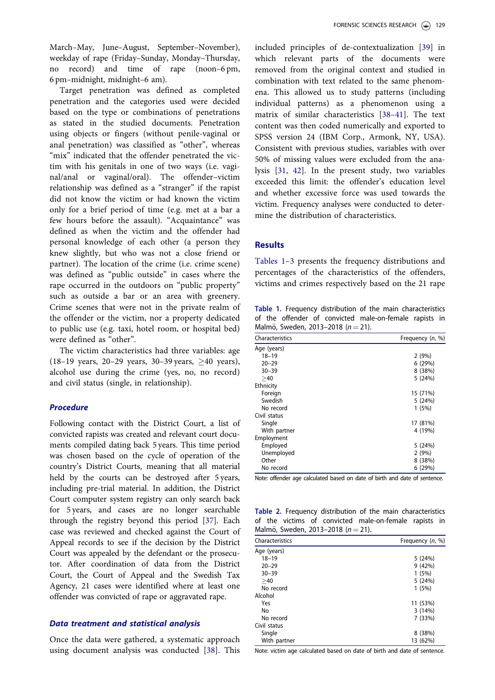<span id="page-4-0"></span>Target penetration was defined as completed penetration and the categories used were decided based on the type or combinations of penetrations as stated in the studied documents. Penetration using objects or fingers (without penile-vaginal or anal penetration) was classified as "other", whereas "mix" indicated that the offender penetrated the victim with his genitals in one of two ways (i.e. vaginal/anal or vaginal/oral). The offender–victim relationship was defined as a "stranger" if the rapist did not know the victim or had known the victim only for a brief period of time (e.g. met at a bar a few hours before the assault). "Acquaintance" was defined as when the victim and the offender had personal knowledge of each other (a person they knew slightly, but who was not a close friend or partner). The location of the crime (i.e. crime scene) was defined as "public outside" in cases where the rape occurred in the outdoors on "public property" such as outside a bar or an area with greenery. Crime scenes that were not in the private realm of the offender or the victim, nor a property dedicated to public use (e.g. taxi, hotel room, or hospital bed) were defined as "other".

The victim characteristics had three variables: age  $(18-19 \text{ years}, 20-29 \text{ years}, 30-39 \text{ years}, \geq 40 \text{ years})$ , alcohol use during the crime (yes, no, no record) and civil status (single, in relationship).

#### Procedure

Following contact with the District Court, a list of convicted rapists was created and relevant court documents compiled dating back 5 years. This time period was chosen based on the cycle of operation of the country's District Courts, meaning that all material held by the courts can be destroyed after 5 years, including pre-trial material. In addition, the District Court computer system registry can only search back for 5 years, and cases are no longer searchable through the registry beyond this period [\[37\]](#page-8-0). Each case was reviewed and checked against the Court of Appeal records to see if the decision by the District Court was appealed by the defendant or the prosecutor. After coordination of data from the District Court, the Court of Appeal and the Swedish Tax Agency, 21 cases were identified where at least one offender was convicted of rape or aggravated rape.

#### Data treatment and statistical analysis

Once the data were gathered, a systematic approach using document analysis was conducted [[38\]](#page-8-0). This

included principles of de-contextualization [\[39](#page-8-0)] in which relevant parts of the documents were removed from the original context and studied in combination with text related to the same phenomena. This allowed us to study patterns (including individual patterns) as a phenomenon using a matrix of similar characteristics [[38](#page-8-0)–41]. The text content was then coded numerically and exported to SPSS version 24 (IBM Corp., Armonk, NY, USA). Consistent with previous studies, variables with over 50% of missing values were excluded from the analysis [\[31](#page-8-0), [42](#page-8-0)]. In the present study, two variables exceeded this limit: the offender's education level and whether excessive force was used towards the victim. Frequency analyses were conducted to determine the distribution of characteristics.

#### **Results**

Tables 1–[3](#page-5-0) presents the frequency distributions and percentages of the characteristics of the offenders, victims and crimes respectively based on the 21 rape

Table 1. Frequency distribution of the main characteristics of the offender of convicted male-on-female rapists in Malmö, Sweden, 2013–2018 ( $n = 21$ ).

| Characteristics | Frequency (n, %) |  |  |
|-----------------|------------------|--|--|
| Age (years)     |                  |  |  |
| $18 - 19$       | 2(9%)            |  |  |
| $20 - 29$       | 6(29%)           |  |  |
| $30 - 39$       | 8 (38%)          |  |  |
| >40             | 5 (24%)          |  |  |
| Ethnicity       |                  |  |  |
| Foreign         | 15 (71%)         |  |  |
| Swedish         | 5(24%)           |  |  |
| No record       | 1(5%)            |  |  |
| Civil status    |                  |  |  |
| Single          | 17 (81%)         |  |  |
| With partner    | 4 (19%)          |  |  |
| Employment      |                  |  |  |
| Employed        | 5 (24%)          |  |  |
| Unemployed      | 2(9%)            |  |  |
| Other           | 8 (38%)          |  |  |
| No record       | 6 (29%)          |  |  |

Note: offender age calculated based on date of birth and date of sentence.

Table 2. Frequency distribution of the main characteristics of the victims of convicted male-on-female rapists in Malmö, Sweden, 2013–2018 ( $n = 21$ ).

| Characteristics | Frequency $(n, %)$ |  |  |
|-----------------|--------------------|--|--|
| Age (years)     |                    |  |  |
| $18 - 19$       | 5(24%)             |  |  |
| $20 - 29$       | 9(42%)             |  |  |
| $30 - 39$       | 1(5%)              |  |  |
| >40             | 5(24%)             |  |  |
| No record       | 1(5%)              |  |  |
| Alcohol         |                    |  |  |
| Yes             | 11 (53%)           |  |  |
| No              | 3(14%)             |  |  |
| No record       | 7(33%)             |  |  |
| Civil status    |                    |  |  |
| Single          | 8 (38%)            |  |  |
| With partner    | 13 (62%)           |  |  |

Note: victim age calculated based on date of birth and date of sentence.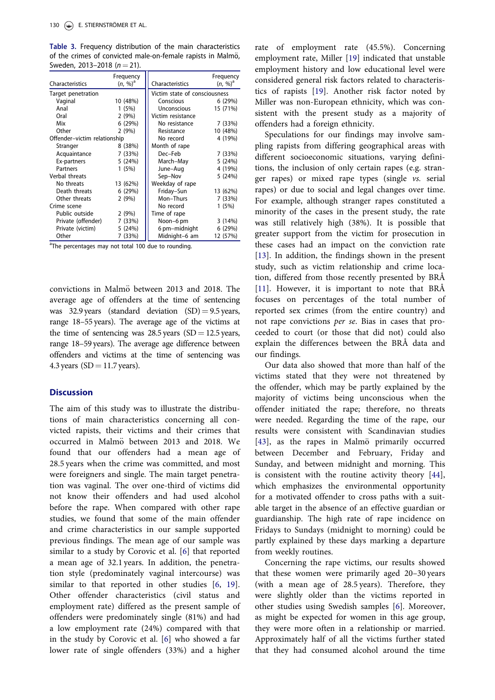<span id="page-5-0"></span>Table 3. Frequency distribution of the main characteristics of the crimes of convicted male-on-female rapists in Malmö, Sweden, 2013–2018 ( $n = 21$ ).

| Characteristics              | Frequency<br>$(n, %)^a$ | Characteristics               | Frequency<br>$(n, %)^a$ |
|------------------------------|-------------------------|-------------------------------|-------------------------|
| Target penetration           |                         | Victim state of consciousness |                         |
| Vaginal                      | 10 (48%)                | Conscious                     | 6(29%)                  |
| Anal                         | 1(5%)                   | Unconscious                   | 15 (71%)                |
| Oral                         | 2(9%)                   | Victim resistance             |                         |
| Mix                          | 6(29%)                  | No resistance                 | 7 (33%)                 |
| Other                        | 2(9%)                   | Resistance                    | 10 (48%)                |
| Offender-victim relationship |                         | No record                     | 4 (19%)                 |
| Stranger                     | 8 (38%)                 | Month of rape                 |                         |
| Acquaintance                 | 7 (33%)                 | Dec-Feb                       | 7 (33%)                 |
| Ex-partners                  | 5(24%)                  | March-May                     | 5(24%)                  |
| Partners                     | 1(5%)                   | June-Aug                      | 4 (19%)                 |
| Verbal threats               |                         | Sep-Nov                       | 5(24%)                  |
| No threats                   | 13 (62%)                | Weekday of rape               |                         |
| Death threats                | 6(29%)                  | Friday-Sun                    | 13 (62%)                |
| Other threats                | 2(9%)                   | Mon-Thurs                     | 7 (33%)                 |
| Crime scene                  |                         | No record                     | 1(5%)                   |
| Public outside               | 2(9%)                   | Time of rape                  |                         |
| Private (offender)           | 7 (33%)                 | Noon-6 pm                     | 3(14%)                  |
| Private (victim)             | 5(24%)                  | 6 pm-midnight                 | 6(29%)                  |
| Other                        | 7 (33%)                 | Midnight-6 am                 | 12 (57%)                |

<sup>a</sup>The percentages may not total 100 due to rounding.

convictions in Malmö between  $2013$  and  $2018$ . The average age of offenders at the time of sentencing was 32.9 years (standard deviation  $(SD) = 9.5$  years, range 18–55 years). The average age of the victims at the time of sentencing was  $28.5$  years (SD = 12.5 years, range 18–59 years). The average age difference between offenders and victims at the time of sentencing was 4.3 years ( $SD = 11.7$  years).

#### **Discussion**

The aim of this study was to illustrate the distributions of main characteristics concerning all convicted rapists, their victims and their crimes that occurred in Malmö between 2013 and 2018. We found that our offenders had a mean age of 28.5 years when the crime was committed, and most were foreigners and single. The main target penetration was vaginal. The over one-third of victims did not know their offenders and had used alcohol before the rape. When compared with other rape studies, we found that some of the main offender and crime characteristics in our sample supported previous findings. The mean age of our sample was similar to a study by Corovic et al. [[6\]](#page-7-0) that reported a mean age of 32.1 years. In addition, the penetration style (predominately vaginal intercourse) was similar to that reported in other studies [[6,](#page-7-0) [19\]](#page-7-0). Other offender characteristics (civil status and employment rate) differed as the present sample of offenders were predominately single (81%) and had a low employment rate (24%) compared with that in the study by Corovic et al. [[6\]](#page-7-0) who showed a far lower rate of single offenders (33%) and a higher

rate of employment rate (45.5%). Concerning employment rate, Miller [\[19](#page-7-0)] indicated that unstable employment history and low educational level were considered general risk factors related to characteristics of rapists [[19\]](#page-7-0). Another risk factor noted by Miller was non-European ethnicity, which was consistent with the present study as a majority of offenders had a foreign ethnicity.

Speculations for our findings may involve sampling rapists from differing geographical areas with different socioeconomic situations, varying definitions, the inclusion of only certain rapes (e.g. stranger rapes) or mixed rape types (single vs. serial rapes) or due to social and legal changes over time. For example, although stranger rapes constituted a minority of the cases in the present study, the rate was still relatively high (38%). It is possible that greater support from the victim for prosecution in these cases had an impact on the conviction rate [\[13](#page-7-0)]. In addition, the findings shown in the present study, such as victim relationship and crime location, differed from those recently presented by BRÅ [\[11](#page-7-0)]. However, it is important to note that BRÅ focuses on percentages of the total number of reported sex crimes (from the entire country) and not rape convictions per se. Bias in cases that proceeded to court (or those that did not) could also explain the differences between the BRÅ data and our findings.

Our data also showed that more than half of the victims stated that they were not threatened by the offender, which may be partly explained by the majority of victims being unconscious when the offender initiated the rape; therefore, no threats were needed. Regarding the time of the rape, our results were consistent with Scandinavian studies  $[43]$  $[43]$ , as the rapes in Malmö primarily occurred between December and February, Friday and Sunday, and between midnight and morning. This is consistent with the routine activity theory [\[44](#page-8-0)], which emphasizes the environmental opportunity for a motivated offender to cross paths with a suitable target in the absence of an effective guardian or guardianship. The high rate of rape incidence on Fridays to Sundays (midnight to morning) could be partly explained by these days marking a departure from weekly routines.

Concerning the rape victims, our results showed that these women were primarily aged 20–30 years (with a mean age of 28.5 years). Therefore, they were slightly older than the victims reported in other studies using Swedish samples [[6\]](#page-7-0). Moreover, as might be expected for women in this age group, they were more often in a relationship or married. Approximately half of all the victims further stated that they had consumed alcohol around the time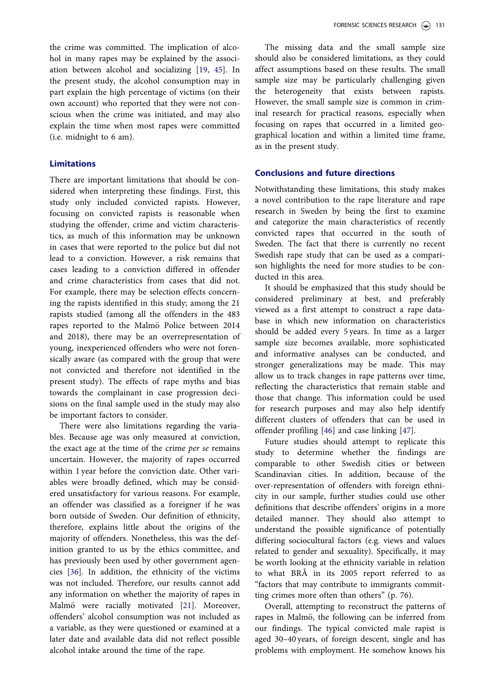<span id="page-6-0"></span>the crime was committed. The implication of alcohol in many rapes may be explained by the association between alcohol and socializing [\[19,](#page-7-0) [45\]](#page-8-0). In the present study, the alcohol consumption may in part explain the high percentage of victims (on their own account) who reported that they were not conscious when the crime was initiated, and may also explain the time when most rapes were committed (i.e. midnight to 6 am).

#### Limitations

There are important limitations that should be considered when interpreting these findings. First, this study only included convicted rapists. However, focusing on convicted rapists is reasonable when studying the offender, crime and victim characteristics, as much of this information may be unknown in cases that were reported to the police but did not lead to a conviction. However, a risk remains that cases leading to a conviction differed in offender and crime characteristics from cases that did not. For example, there may be selection effects concerning the rapists identified in this study; among the 21 rapists studied (among all the offenders in the 483 rapes reported to the Malmö Police between 2014 and 2018), there may be an overrepresentation of young, inexperienced offenders who were not forensically aware (as compared with the group that were not convicted and therefore not identified in the present study). The effects of rape myths and bias towards the complainant in case progression decisions on the final sample used in the study may also be important factors to consider.

There were also limitations regarding the variables. Because age was only measured at conviction, the exact age at the time of the crime per se remains uncertain. However, the majority of rapes occurred within 1 year before the conviction date. Other variables were broadly defined, which may be considered unsatisfactory for various reasons. For example, an offender was classified as a foreigner if he was born outside of Sweden. Our definition of ethnicity, therefore, explains little about the origins of the majority of offenders. Nonetheless, this was the definition granted to us by the ethics committee, and has previously been used by other government agencies [\[36\]](#page-8-0). In addition, the ethnicity of the victims was not included. Therefore, our results cannot add any information on whether the majority of rapes in Malmö were racially motivated [[21](#page-7-0)]. Moreover, offenders' alcohol consumption was not included as a variable, as they were questioned or examined at a later date and available data did not reflect possible alcohol intake around the time of the rape.

The missing data and the small sample size should also be considered limitations, as they could affect assumptions based on these results. The small sample size may be particularly challenging given the heterogeneity that exists between rapists. However, the small sample size is common in criminal research for practical reasons, especially when focusing on rapes that occurred in a limited geographical location and within a limited time frame, as in the present study.

#### Conclusions and future directions

Notwithstanding these limitations, this study makes a novel contribution to the rape literature and rape research in Sweden by being the first to examine and categorize the main characteristics of recently convicted rapes that occurred in the south of Sweden. The fact that there is currently no recent Swedish rape study that can be used as a comparison highlights the need for more studies to be conducted in this area.

It should be emphasized that this study should be considered preliminary at best, and preferably viewed as a first attempt to construct a rape database in which new information on characteristics should be added every 5 years. In time as a larger sample size becomes available, more sophisticated and informative analyses can be conducted, and stronger generalizations may be made. This may allow us to track changes in rape patterns over time, reflecting the characteristics that remain stable and those that change. This information could be used for research purposes and may also help identify different clusters of offenders that can be used in offender profiling [[46\]](#page-8-0) and case linking [\[47](#page-8-0)].

Future studies should attempt to replicate this study to determine whether the findings are comparable to other Swedish cities or between Scandinavian cities. In addition, because of the over-representation of offenders with foreign ethnicity in our sample, further studies could use other definitions that describe offenders' origins in a more detailed manner. They should also attempt to understand the possible significance of potentially differing sociocultural factors (e.g. views and values related to gender and sexuality). Specifically, it may be worth looking at the ethnicity variable in relation to what BRÅ in its 2005 report referred to as "factors that may contribute to immigrants committing crimes more often than others" (p. 76).

Overall, attempting to reconstruct the patterns of rapes in Malmö, the following can be inferred from our findings. The typical convicted male rapist is aged 30–40 years, of foreign descent, single and has problems with employment. He somehow knows his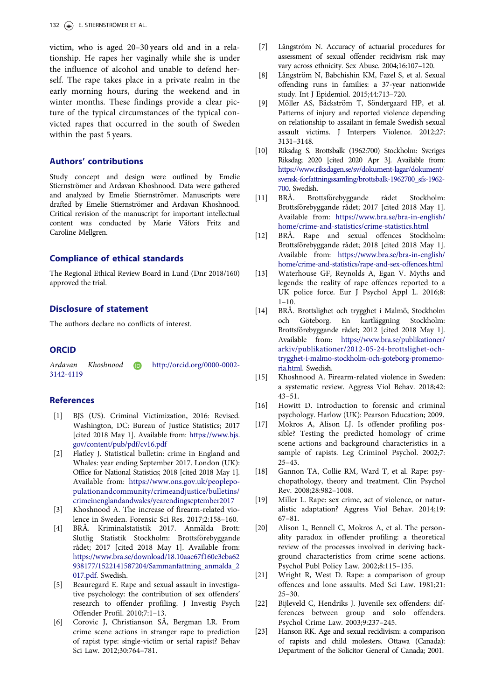<span id="page-7-0"></span>victim, who is aged 20–30 years old and in a relationship. He rapes her vaginally while she is under the influence of alcohol and unable to defend herself. The rape takes place in a private realm in the early morning hours, during the weekend and in winter months. These findings provide a clear picture of the typical circumstances of the typical convicted rapes that occurred in the south of Sweden within the past 5 years.

#### Authors' contributions

Study concept and design were outlined by Emelie Stiernströmer and Ardavan Khoshnood. Data were gathered and analyzed by Emelie Stiernströmer. Manuscripts were drafted by Emelie Stiernströmer and Ardavan Khoshnood. Critical revision of the manuscript for important intellectual content was conducted by Marie Väfors Fritz and Caroline Mellgren.

#### Compliance of ethical standards

The Regional Ethical Review Board in Lund (Dnr 2018/160) approved the trial.

#### Disclosure of statement

The authors declare no conflicts of interest.

#### **ORCID**

Ardavan Khoshnood http://orcid.org/0000-0002- 3142-4119

#### References

- [\[1\] B](#page-1-0)JS (US). Criminal Victimization, 2016: Revised. Washington, DC: Bureau of Justice Statistics; 2017 [cited 2018 May 1]. Available from: [https://www.bjs.](https://www.bjs.gov/content/pub/pdf/cv16.pdf) [gov/content/pub/pdf/cv16.pdf](https://www.bjs.gov/content/pub/pdf/cv16.pdf)
- [2] Flatley J. Statistical bulletin: crime in England and Whales: year ending September 2017. London (UK): Office for National Statistics; 2018 [cited 2018 May 1]. Available from: [https://www.ons.gov.uk/peoplepo](https://www.ons.gov.uk/peoplepopulationandcommunity/crimeandjustice/bulletins/crimeinenglandandwales/yearendingseptember2017)[pulationandcommunity/crimeandjustice/bulletins/](https://www.ons.gov.uk/peoplepopulationandcommunity/crimeandjustice/bulletins/crimeinenglandandwales/yearendingseptember2017) [crimeinenglandandwales/yearendingseptember2017](https://www.ons.gov.uk/peoplepopulationandcommunity/crimeandjustice/bulletins/crimeinenglandandwales/yearendingseptember2017)
- [3] Khoshnood A. The increase of firearm-related violence in Sweden. Forensic Sci Res. 2017;2:158–160.
- [\[4\] B](#page-1-0)RÅ. Kriminalstatistik 2017. Anmälda Brott: Slutlig Statistik Stockholm: Brottsförebyggande rådet; 2017 [cited 2018 May 1]. Available from: [https://www.bra.se/download/18.10aae67f160e3eba62](https://www.bra.se/download/18.10aae67f160e3eba62938177/1522141587204/Sammanfattning_anmalda_2017.pdf) [938177/1522141587204/Sammanfattning\\_anmalda\\_2](https://www.bra.se/download/18.10aae67f160e3eba62938177/1522141587204/Sammanfattning_anmalda_2017.pdf) [017.pdf.](https://www.bra.se/download/18.10aae67f160e3eba62938177/1522141587204/Sammanfattning_anmalda_2017.pdf) Swedish.
- [\[5\] B](#page-1-0)eauregard E. Rape and sexual assault in investigative psychology: the contribution of sex offenders' research to offender profiling. J Investig Psych Offender Profil. 2010;7:1–13.
- [\[6\] C](#page-1-0)orovic J, Christianson SÅ, Bergman LR. From crime scene actions in stranger rape to prediction of rapist type: single-victim or serial rapist? Behav Sci Law. 2012;30:764–781.
- [7] Långström N. Accuracy of actuarial procedures for assessment of sexual offender recidivism risk may vary across ethnicity. Sex Abuse. 2004;16:107–120.
- [8] Långström N, Babchishin KM, Fazel S, et al. Sexual offending runs in families: a 37-year nationwide study. Int J Epidemiol. 2015;44:713–720.
- [9] Möller AS, Bäckström T, Söndergaard HP, et al. Patterns of injury and reported violence depending on relationship to assailant in female Swedish sexual assault victims. J Interpers Violence. 2012;27: 3131–3148.
- [\[10\] R](#page-1-0)iksdag S. Brottsbalk (1962:700) Stockholm: Sveriges Riksdag; 2020 [cited 2020 Apr 3]. Available from: [https://www.riksdagen.se/sv/dokument-lagar/dokument/](https://www.riksdagen.se/sv/dokument-lagar/dokument/svensk-forfattningssamling/brottsbalk-1962700_sfs-1962-700) [svensk-forfattningssamling/brottsbalk-1962700\\_sfs-1962-](https://www.riksdagen.se/sv/dokument-lagar/dokument/svensk-forfattningssamling/brottsbalk-1962700_sfs-1962-700) [700](https://www.riksdagen.se/sv/dokument-lagar/dokument/svensk-forfattningssamling/brottsbalk-1962700_sfs-1962-700). Swedish.
- [\[11\] B](#page-1-0)RÅ. Brottsförebyggande rådet Stockholm: Brottsförebyggande rådet; 2017 [cited 2018 May 1]. Available from: [https://www.bra.se/bra-in-english/](https://www.bra.se/bra-in-english/home/crime-and-statistics/crime-statistics.html) [home/crime-and-statistics/crime-statistics.html](https://www.bra.se/bra-in-english/home/crime-and-statistics/crime-statistics.html)
- [\[12\] B](#page-2-0)RÅ. Rape and sexual offences Stockholm: Brottsförebyggande rådet; 2018 [cited 2018 May 1]. Available from: [https://www.bra.se/bra-in-english/](https://www.bra.se/bra-in-english/home/crime-and-statistics/rape-and-sex-offences.html) [home/crime-and-statistics/rape-and-sex-offences.html](https://www.bra.se/bra-in-english/home/crime-and-statistics/rape-and-sex-offences.html)
- [\[13\] W](#page-2-0)aterhouse GF, Reynolds A, Egan V. Myths and legends: the reality of rape offences reported to a UK police force. Eur J Psychol Appl L. 2016;8:  $1 - 10$
- [\[14\] B](#page-2-0)RÅ. Brottslighet och trygghet i Malmö, Stockholm och Göteborg. En kartläggning Stockholm: Brottsförebyggande rådet; 2012 [cited 2018 May 1]. Available from: [https://www.bra.se/publikationer/](https://www.bra.se/publikationer/arkiv/publikationer/2012-05-24-brottslighet-och-trygghet-i-malmo-stockholm-och-goteborg-promemoria.html) [arkiv/publikationer/2012-05-24-brottslighet-och](https://www.bra.se/publikationer/arkiv/publikationer/2012-05-24-brottslighet-och-trygghet-i-malmo-stockholm-och-goteborg-promemoria.html)[trygghet-i-malmo-stockholm-och-goteborg-promemo](https://www.bra.se/publikationer/arkiv/publikationer/2012-05-24-brottslighet-och-trygghet-i-malmo-stockholm-och-goteborg-promemoria.html)[ria.html](https://www.bra.se/publikationer/arkiv/publikationer/2012-05-24-brottslighet-och-trygghet-i-malmo-stockholm-och-goteborg-promemoria.html). Swedish.
- [\[15\] K](#page-2-0)hoshnood A. Firearm-related violence in Sweden: a systematic review. Aggress Viol Behav. 2018;42: 43–51.
- [\[16\] H](#page-2-0)owitt D. Introduction to forensic and criminal psychology. Harlow (UK): Pearson Education; 2009.
- [\[17\] M](#page-2-0)okros A, Alison LJ. Is offender profiling possible? Testing the predicted homology of crime scene actions and background characteristics in a sample of rapists. Leg Criminol Psychol. 2002;7: 25–43.
- [\[18\] G](#page-2-0)annon TA, Collie RM, Ward T, et al. Rape: psychopathology, theory and treatment. Clin Psychol Rev. 2008;28:982–1008.
- [\[19\] M](#page-2-0)iller L. Rape: sex crime, act of violence, or naturalistic adaptation? Aggress Viol Behav. 2014;19: 67–81.
- [\[20\] A](#page-2-0)lison L, Bennell C, Mokros A, et al. The personality paradox in offender profiling: a theoretical review of the processes involved in deriving background characteristics from crime scene actions. Psychol Publ Policy Law. 2002;8:115–135.
- [\[21\] W](#page-2-0)right R, West D. Rape: a comparison of group offences and lone assaults. Med Sci Law. 1981;21:  $25 - 30.$
- [\[22\] B](#page-2-0)ijleveld C, Hendriks J. Juvenile sex offenders: differences between group and solo offenders. Psychol Crime Law. 2003;9:237–245.
- [\[23\] H](#page-2-0)anson RK. Age and sexual recidivism: a comparison of rapists and child molesters. Ottawa (Canada): Department of the Solicitor General of Canada; 2001.